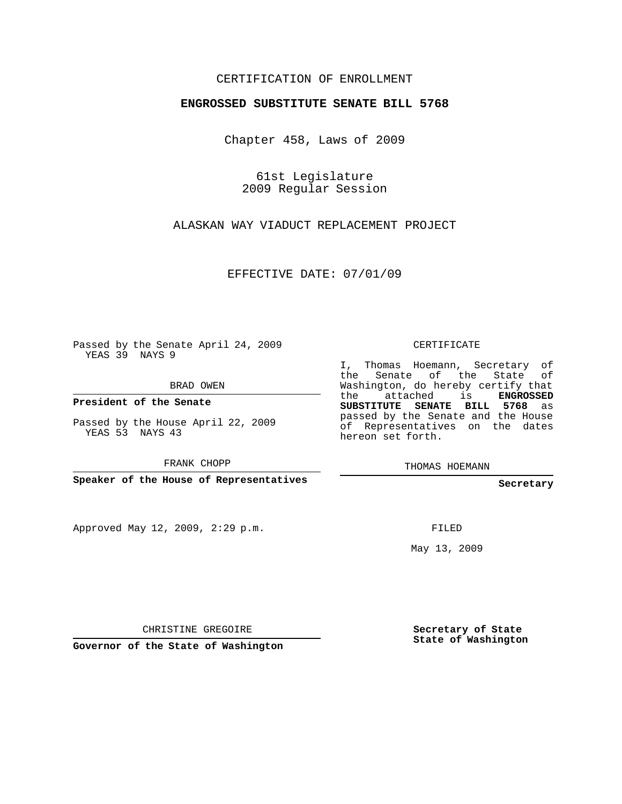## CERTIFICATION OF ENROLLMENT

## **ENGROSSED SUBSTITUTE SENATE BILL 5768**

Chapter 458, Laws of 2009

61st Legislature 2009 Regular Session

ALASKAN WAY VIADUCT REPLACEMENT PROJECT

EFFECTIVE DATE: 07/01/09

Passed by the Senate April 24, 2009 YEAS 39 NAYS 9

BRAD OWEN

**President of the Senate**

Passed by the House April 22, 2009 YEAS 53 NAYS 43

FRANK CHOPP

**Speaker of the House of Representatives**

Approved May 12, 2009, 2:29 p.m.

CERTIFICATE

I, Thomas Hoemann, Secretary of the Senate of the State of Washington, do hereby certify that the attached is **ENGROSSED SUBSTITUTE SENATE BILL 5768** as passed by the Senate and the House of Representatives on the dates hereon set forth.

THOMAS HOEMANN

**Secretary**

FILED

May 13, 2009

CHRISTINE GREGOIRE

**Governor of the State of Washington**

**Secretary of State State of Washington**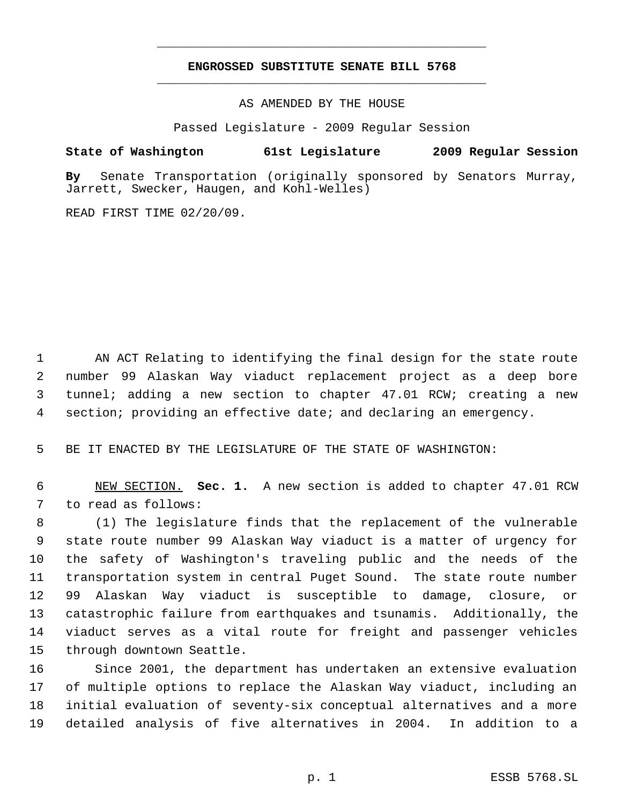## **ENGROSSED SUBSTITUTE SENATE BILL 5768** \_\_\_\_\_\_\_\_\_\_\_\_\_\_\_\_\_\_\_\_\_\_\_\_\_\_\_\_\_\_\_\_\_\_\_\_\_\_\_\_\_\_\_\_\_

\_\_\_\_\_\_\_\_\_\_\_\_\_\_\_\_\_\_\_\_\_\_\_\_\_\_\_\_\_\_\_\_\_\_\_\_\_\_\_\_\_\_\_\_\_

AS AMENDED BY THE HOUSE

Passed Legislature - 2009 Regular Session

## **State of Washington 61st Legislature 2009 Regular Session**

**By** Senate Transportation (originally sponsored by Senators Murray, Jarrett, Swecker, Haugen, and Kohl-Welles)

READ FIRST TIME 02/20/09.

 AN ACT Relating to identifying the final design for the state route number 99 Alaskan Way viaduct replacement project as a deep bore tunnel; adding a new section to chapter 47.01 RCW; creating a new section; providing an effective date; and declaring an emergency.

BE IT ENACTED BY THE LEGISLATURE OF THE STATE OF WASHINGTON:

 NEW SECTION. **Sec. 1.** A new section is added to chapter 47.01 RCW to read as follows:

 (1) The legislature finds that the replacement of the vulnerable state route number 99 Alaskan Way viaduct is a matter of urgency for the safety of Washington's traveling public and the needs of the transportation system in central Puget Sound. The state route number 99 Alaskan Way viaduct is susceptible to damage, closure, or catastrophic failure from earthquakes and tsunamis. Additionally, the viaduct serves as a vital route for freight and passenger vehicles through downtown Seattle.

 Since 2001, the department has undertaken an extensive evaluation of multiple options to replace the Alaskan Way viaduct, including an initial evaluation of seventy-six conceptual alternatives and a more detailed analysis of five alternatives in 2004. In addition to a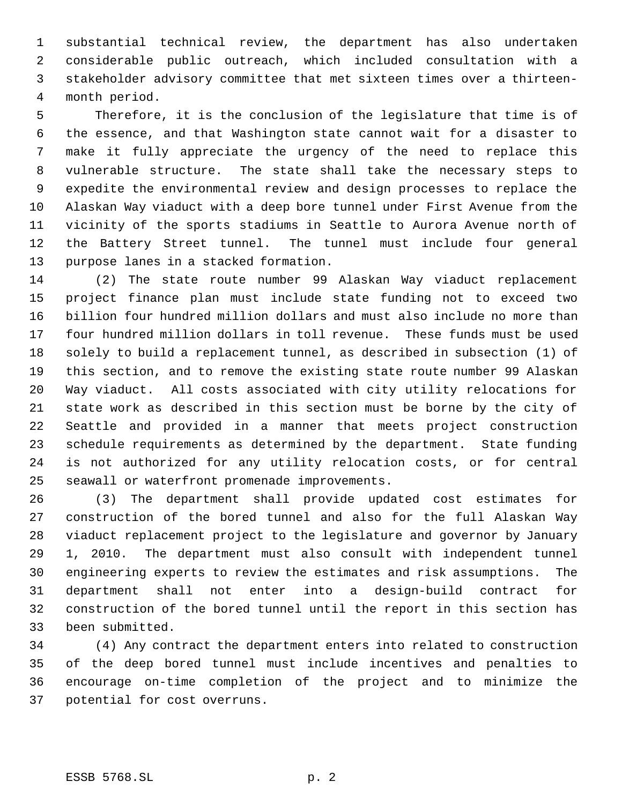substantial technical review, the department has also undertaken considerable public outreach, which included consultation with a stakeholder advisory committee that met sixteen times over a thirteen- month period.

 Therefore, it is the conclusion of the legislature that time is of the essence, and that Washington state cannot wait for a disaster to make it fully appreciate the urgency of the need to replace this vulnerable structure. The state shall take the necessary steps to expedite the environmental review and design processes to replace the Alaskan Way viaduct with a deep bore tunnel under First Avenue from the vicinity of the sports stadiums in Seattle to Aurora Avenue north of the Battery Street tunnel. The tunnel must include four general purpose lanes in a stacked formation.

 (2) The state route number 99 Alaskan Way viaduct replacement project finance plan must include state funding not to exceed two billion four hundred million dollars and must also include no more than four hundred million dollars in toll revenue. These funds must be used solely to build a replacement tunnel, as described in subsection (1) of this section, and to remove the existing state route number 99 Alaskan Way viaduct. All costs associated with city utility relocations for state work as described in this section must be borne by the city of Seattle and provided in a manner that meets project construction schedule requirements as determined by the department. State funding is not authorized for any utility relocation costs, or for central seawall or waterfront promenade improvements.

 (3) The department shall provide updated cost estimates for construction of the bored tunnel and also for the full Alaskan Way viaduct replacement project to the legislature and governor by January 1, 2010. The department must also consult with independent tunnel engineering experts to review the estimates and risk assumptions. The department shall not enter into a design-build contract for construction of the bored tunnel until the report in this section has been submitted.

 (4) Any contract the department enters into related to construction of the deep bored tunnel must include incentives and penalties to encourage on-time completion of the project and to minimize the potential for cost overruns.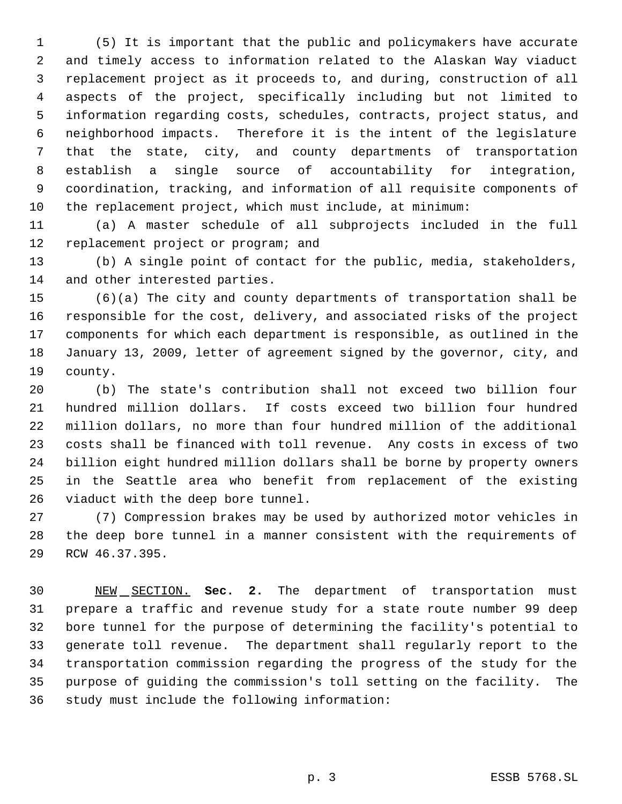(5) It is important that the public and policymakers have accurate and timely access to information related to the Alaskan Way viaduct replacement project as it proceeds to, and during, construction of all aspects of the project, specifically including but not limited to information regarding costs, schedules, contracts, project status, and neighborhood impacts. Therefore it is the intent of the legislature that the state, city, and county departments of transportation establish a single source of accountability for integration, coordination, tracking, and information of all requisite components of the replacement project, which must include, at minimum:

 (a) A master schedule of all subprojects included in the full 12 replacement project or program; and

 (b) A single point of contact for the public, media, stakeholders, and other interested parties.

 (6)(a) The city and county departments of transportation shall be responsible for the cost, delivery, and associated risks of the project components for which each department is responsible, as outlined in the January 13, 2009, letter of agreement signed by the governor, city, and county.

 (b) The state's contribution shall not exceed two billion four hundred million dollars. If costs exceed two billion four hundred million dollars, no more than four hundred million of the additional costs shall be financed with toll revenue. Any costs in excess of two billion eight hundred million dollars shall be borne by property owners in the Seattle area who benefit from replacement of the existing viaduct with the deep bore tunnel.

 (7) Compression brakes may be used by authorized motor vehicles in the deep bore tunnel in a manner consistent with the requirements of RCW 46.37.395.

 NEW SECTION. **Sec. 2.** The department of transportation must prepare a traffic and revenue study for a state route number 99 deep bore tunnel for the purpose of determining the facility's potential to generate toll revenue. The department shall regularly report to the transportation commission regarding the progress of the study for the purpose of guiding the commission's toll setting on the facility. The study must include the following information: